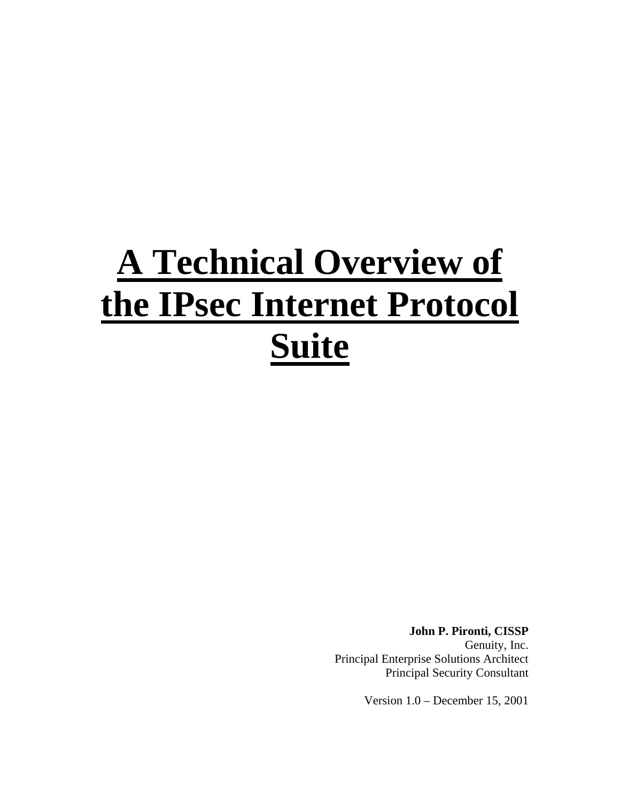# **A Technical Overview of the IPsec Internet Protocol Suite**

**John P. Pironti, CISSP** Genuity, Inc. Principal Enterprise Solutions Architect Principal Security Consultant

Version 1.0 – December 15, 2001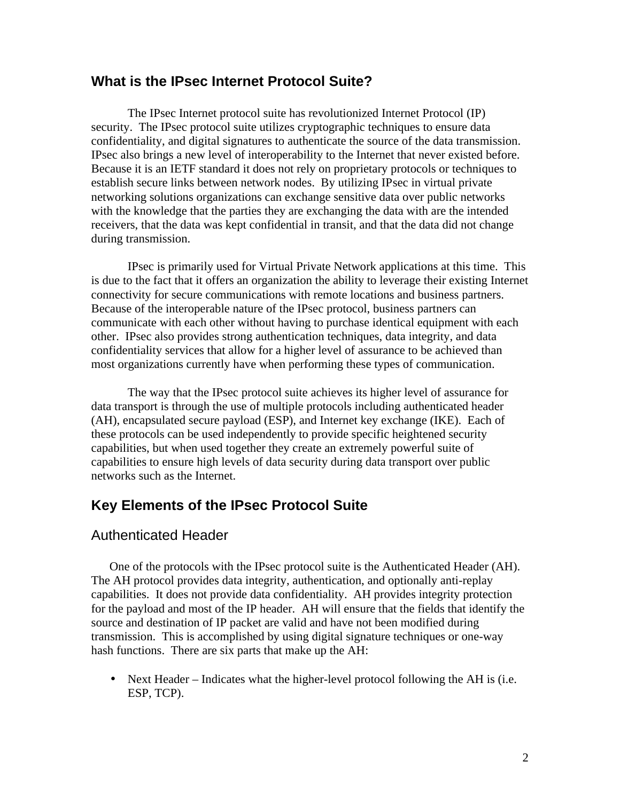## **What is the IPsec Internet Protocol Suite?**

The IPsec Internet protocol suite has revolutionized Internet Protocol (IP) security. The IPsec protocol suite utilizes cryptographic techniques to ensure data confidentiality, and digital signatures to authenticate the source of the data transmission. IPsec also brings a new level of interoperability to the Internet that never existed before. Because it is an IETF standard it does not rely on proprietary protocols or techniques to establish secure links between network nodes. By utilizing IPsec in virtual private networking solutions organizations can exchange sensitive data over public networks with the knowledge that the parties they are exchanging the data with are the intended receivers, that the data was kept confidential in transit, and that the data did not change during transmission.

IPsec is primarily used for Virtual Private Network applications at this time. This is due to the fact that it offers an organization the ability to leverage their existing Internet connectivity for secure communications with remote locations and business partners. Because of the interoperable nature of the IPsec protocol, business partners can communicate with each other without having to purchase identical equipment with each other. IPsec also provides strong authentication techniques, data integrity, and data confidentiality services that allow for a higher level of assurance to be achieved than most organizations currently have when performing these types of communication.

The way that the IPsec protocol suite achieves its higher level of assurance for data transport is through the use of multiple protocols including authenticated header (AH), encapsulated secure payload (ESP), and Internet key exchange (IKE). Each of these protocols can be used independently to provide specific heightened security capabilities, but when used together they create an extremely powerful suite of capabilities to ensure high levels of data security during data transport over public networks such as the Internet.

# **Key Elements of the IPsec Protocol Suite**

## Authenticated Header

One of the protocols with the IPsec protocol suite is the Authenticated Header (AH). The AH protocol provides data integrity, authentication, and optionally anti-replay capabilities. It does not provide data confidentiality. AH provides integrity protection for the payload and most of the IP header. AH will ensure that the fields that identify the source and destination of IP packet are valid and have not been modified during transmission. This is accomplished by using digital signature techniques or one-way hash functions. There are six parts that make up the AH:

• Next Header – Indicates what the higher-level protocol following the AH is (i.e. ESP, TCP).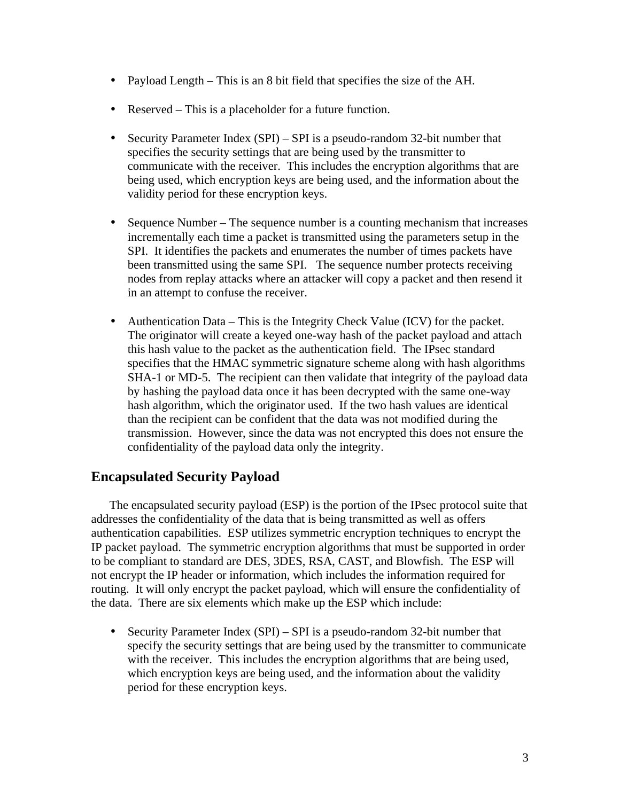- Payload Length This is an 8 bit field that specifies the size of the AH.
- Reserved This is a placeholder for a future function.
- Security Parameter Index (SPI) SPI is a pseudo-random 32-bit number that specifies the security settings that are being used by the transmitter to communicate with the receiver. This includes the encryption algorithms that are being used, which encryption keys are being used, and the information about the validity period for these encryption keys.
- Sequence Number The sequence number is a counting mechanism that increases incrementally each time a packet is transmitted using the parameters setup in the SPI. It identifies the packets and enumerates the number of times packets have been transmitted using the same SPI. The sequence number protects receiving nodes from replay attacks where an attacker will copy a packet and then resend it in an attempt to confuse the receiver.
- Authentication Data This is the Integrity Check Value (ICV) for the packet. The originator will create a keyed one-way hash of the packet payload and attach this hash value to the packet as the authentication field. The IPsec standard specifies that the HMAC symmetric signature scheme along with hash algorithms SHA-1 or MD-5. The recipient can then validate that integrity of the payload data by hashing the payload data once it has been decrypted with the same one-way hash algorithm, which the originator used. If the two hash values are identical than the recipient can be confident that the data was not modified during the transmission. However, since the data was not encrypted this does not ensure the confidentiality of the payload data only the integrity.

# **Encapsulated Security Payload**

The encapsulated security payload (ESP) is the portion of the IPsec protocol suite that addresses the confidentiality of the data that is being transmitted as well as offers authentication capabilities. ESP utilizes symmetric encryption techniques to encrypt the IP packet payload. The symmetric encryption algorithms that must be supported in order to be compliant to standard are DES, 3DES, RSA, CAST, and Blowfish. The ESP will not encrypt the IP header or information, which includes the information required for routing. It will only encrypt the packet payload, which will ensure the confidentiality of the data. There are six elements which make up the ESP which include:

• Security Parameter Index (SPI) – SPI is a pseudo-random 32-bit number that specify the security settings that are being used by the transmitter to communicate with the receiver. This includes the encryption algorithms that are being used, which encryption keys are being used, and the information about the validity period for these encryption keys.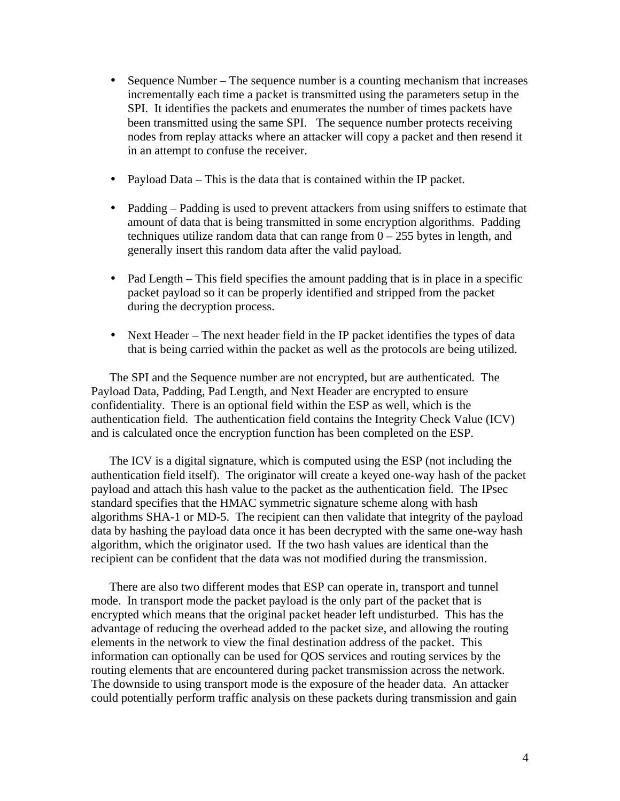- Sequence Number The sequence number is a counting mechanism that increases incrementally each time a packet is transmitted using the parameters setup in the SPI. It identifies the packets and enumerates the number of times packets have been transmitted using the same SPI. The sequence number protects receiving nodes from replay attacks where an attacker will copy a packet and then resend it in an attempt to confuse the receiver.
- Payload Data This is the data that is contained within the IP packet.
- Padding Padding is used to prevent attackers from using sniffers to estimate that amount of data that is being transmitted in some encryption algorithms. Padding techniques utilize random data that can range from  $0 - 255$  bytes in length, and generally insert this random data after the valid payload.
- Pad Length This field specifies the amount padding that is in place in a specific packet payload so it can be properly identified and stripped from the packet during the decryption process.
- Next Header The next header field in the IP packet identifies the types of data that is being carried within the packet as well as the protocols are being utilized.

The SPI and the Sequence number are not encrypted, but are authenticated. The Payload Data, Padding, Pad Length, and Next Header are encrypted to ensure confidentiality. There is an optional field within the ESP as well, which is the authentication field. The authentication field contains the Integrity Check Value (ICV) and is calculated once the encryption function has been completed on the ESP.

The ICV is a digital signature, which is computed using the ESP (not including the authentication field itself). The originator will create a keyed one-way hash of the packet payload and attach this hash value to the packet as the authentication field. The IPsec standard specifies that the HMAC symmetric signature scheme along with hash algorithms SHA-1 or MD-5. The recipient can then validate that integrity of the payload data by hashing the payload data once it has been decrypted with the same one-way hash algorithm, which the originator used. If the two hash values are identical than the recipient can be confident that the data was not modified during the transmission.

There are also two different modes that ESP can operate in, transport and tunnel mode. In transport mode the packet payload is the only part of the packet that is encrypted which means that the original packet header left undisturbed. This has the advantage of reducing the overhead added to the packet size, and allowing the routing elements in the network to view the final destination address of the packet. This information can optionally can be used for QOS services and routing services by the routing elements that are encountered during packet transmission across the network. The downside to using transport mode is the exposure of the header data. An attacker could potentially perform traffic analysis on these packets during transmission and gain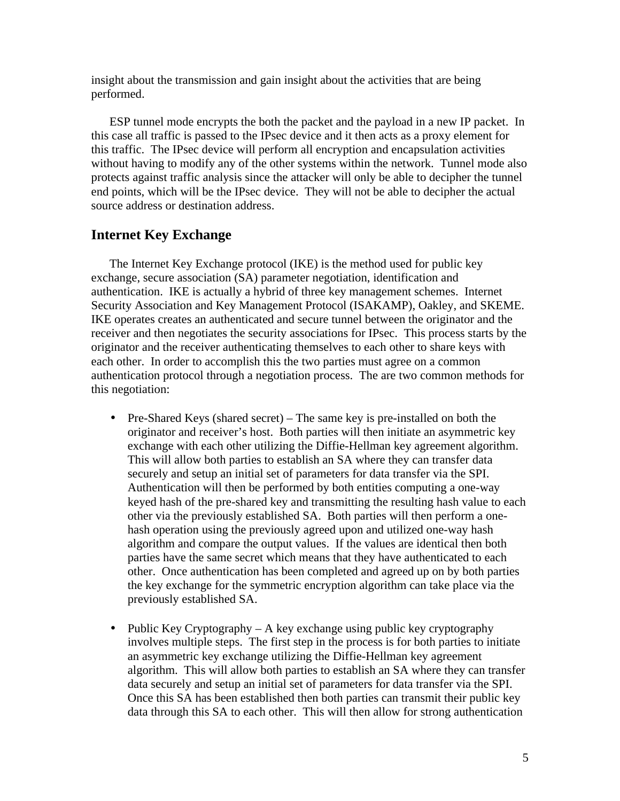insight about the transmission and gain insight about the activities that are being performed.

ESP tunnel mode encrypts the both the packet and the payload in a new IP packet. In this case all traffic is passed to the IPsec device and it then acts as a proxy element for this traffic. The IPsec device will perform all encryption and encapsulation activities without having to modify any of the other systems within the network. Tunnel mode also protects against traffic analysis since the attacker will only be able to decipher the tunnel end points, which will be the IPsec device. They will not be able to decipher the actual source address or destination address.

#### **Internet Key Exchange**

The Internet Key Exchange protocol (IKE) is the method used for public key exchange, secure association (SA) parameter negotiation, identification and authentication. IKE is actually a hybrid of three key management schemes. Internet Security Association and Key Management Protocol (ISAKAMP), Oakley, and SKEME. IKE operates creates an authenticated and secure tunnel between the originator and the receiver and then negotiates the security associations for IPsec. This process starts by the originator and the receiver authenticating themselves to each other to share keys with each other. In order to accomplish this the two parties must agree on a common authentication protocol through a negotiation process. The are two common methods for this negotiation:

- Pre-Shared Keys (shared secret) The same key is pre-installed on both the originator and receiver's host. Both parties will then initiate an asymmetric key exchange with each other utilizing the Diffie-Hellman key agreement algorithm. This will allow both parties to establish an SA where they can transfer data securely and setup an initial set of parameters for data transfer via the SPI. Authentication will then be performed by both entities computing a one-way keyed hash of the pre-shared key and transmitting the resulting hash value to each other via the previously established SA. Both parties will then perform a onehash operation using the previously agreed upon and utilized one-way hash algorithm and compare the output values. If the values are identical then both parties have the same secret which means that they have authenticated to each other. Once authentication has been completed and agreed up on by both parties the key exchange for the symmetric encryption algorithm can take place via the previously established SA.
- Public Key Cryptography A key exchange using public key cryptography involves multiple steps. The first step in the process is for both parties to initiate an asymmetric key exchange utilizing the Diffie-Hellman key agreement algorithm. This will allow both parties to establish an SA where they can transfer data securely and setup an initial set of parameters for data transfer via the SPI. Once this SA has been established then both parties can transmit their public key data through this SA to each other. This will then allow for strong authentication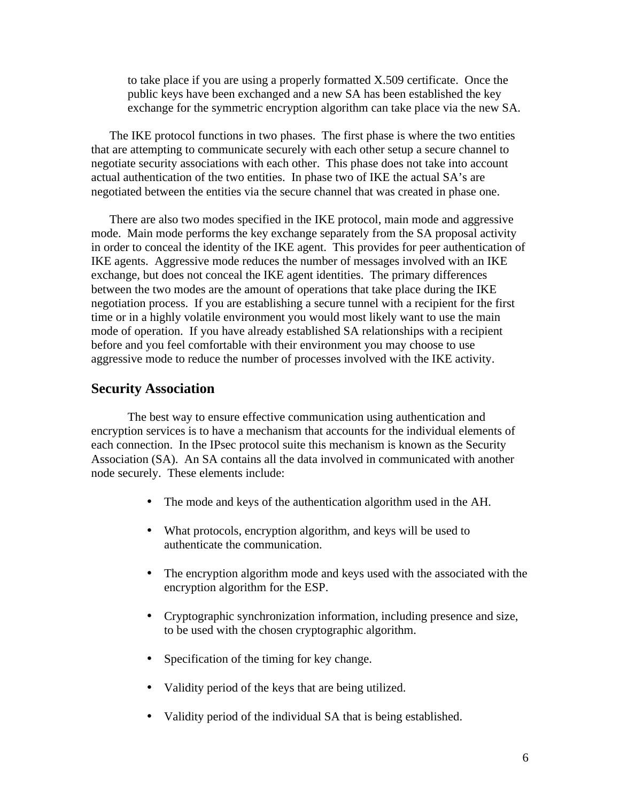to take place if you are using a properly formatted X.509 certificate. Once the public keys have been exchanged and a new SA has been established the key exchange for the symmetric encryption algorithm can take place via the new SA.

The IKE protocol functions in two phases. The first phase is where the two entities that are attempting to communicate securely with each other setup a secure channel to negotiate security associations with each other. This phase does not take into account actual authentication of the two entities. In phase two of IKE the actual SA's are negotiated between the entities via the secure channel that was created in phase one.

There are also two modes specified in the IKE protocol, main mode and aggressive mode. Main mode performs the key exchange separately from the SA proposal activity in order to conceal the identity of the IKE agent. This provides for peer authentication of IKE agents. Aggressive mode reduces the number of messages involved with an IKE exchange, but does not conceal the IKE agent identities. The primary differences between the two modes are the amount of operations that take place during the IKE negotiation process. If you are establishing a secure tunnel with a recipient for the first time or in a highly volatile environment you would most likely want to use the main mode of operation. If you have already established SA relationships with a recipient before and you feel comfortable with their environment you may choose to use aggressive mode to reduce the number of processes involved with the IKE activity.

#### **Security Association**

The best way to ensure effective communication using authentication and encryption services is to have a mechanism that accounts for the individual elements of each connection. In the IPsec protocol suite this mechanism is known as the Security Association (SA). An SA contains all the data involved in communicated with another node securely. These elements include:

- The mode and keys of the authentication algorithm used in the AH.
- What protocols, encryption algorithm, and keys will be used to authenticate the communication.
- The encryption algorithm mode and keys used with the associated with the encryption algorithm for the ESP.
- Cryptographic synchronization information, including presence and size, to be used with the chosen cryptographic algorithm.
- Specification of the timing for key change.
- Validity period of the keys that are being utilized.
- Validity period of the individual SA that is being established.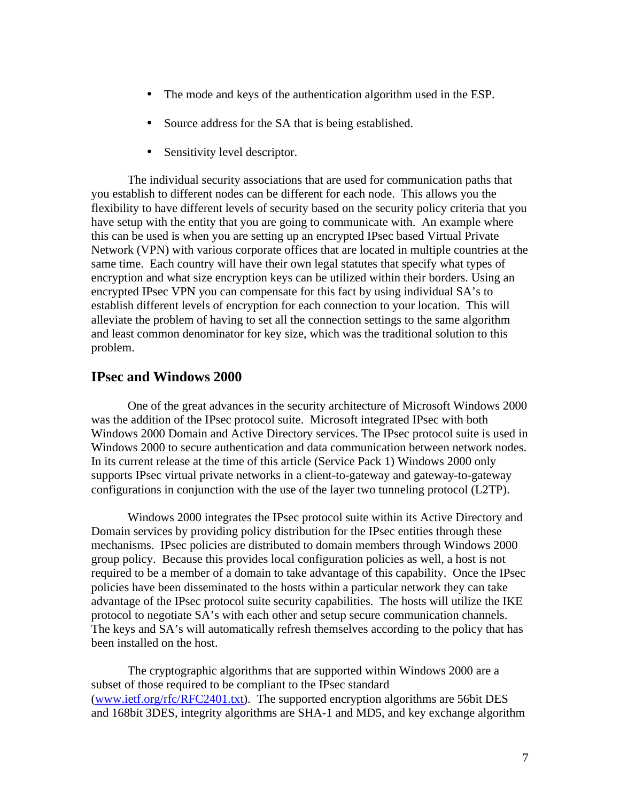- The mode and keys of the authentication algorithm used in the ESP.
- Source address for the SA that is being established.
- Sensitivity level descriptor.

The individual security associations that are used for communication paths that you establish to different nodes can be different for each node. This allows you the flexibility to have different levels of security based on the security policy criteria that you have setup with the entity that you are going to communicate with. An example where this can be used is when you are setting up an encrypted IPsec based Virtual Private Network (VPN) with various corporate offices that are located in multiple countries at the same time. Each country will have their own legal statutes that specify what types of encryption and what size encryption keys can be utilized within their borders. Using an encrypted IPsec VPN you can compensate for this fact by using individual SA's to establish different levels of encryption for each connection to your location. This will alleviate the problem of having to set all the connection settings to the same algorithm and least common denominator for key size, which was the traditional solution to this problem.

## **IPsec and Windows 2000**

One of the great advances in the security architecture of Microsoft Windows 2000 was the addition of the IPsec protocol suite. Microsoft integrated IPsec with both Windows 2000 Domain and Active Directory services. The IPsec protocol suite is used in Windows 2000 to secure authentication and data communication between network nodes. In its current release at the time of this article (Service Pack 1) Windows 2000 only supports IPsec virtual private networks in a client-to-gateway and gateway-to-gateway configurations in conjunction with the use of the layer two tunneling protocol (L2TP).

Windows 2000 integrates the IPsec protocol suite within its Active Directory and Domain services by providing policy distribution for the IPsec entities through these mechanisms. IPsec policies are distributed to domain members through Windows 2000 group policy. Because this provides local configuration policies as well, a host is not required to be a member of a domain to take advantage of this capability. Once the IPsec policies have been disseminated to the hosts within a particular network they can take advantage of the IPsec protocol suite security capabilities. The hosts will utilize the IKE protocol to negotiate SA's with each other and setup secure communication channels. The keys and SA's will automatically refresh themselves according to the policy that has been installed on the host.

The cryptographic algorithms that are supported within Windows 2000 are a subset of those required to be compliant to the IPsec standard (www.ietf.org/rfc/RFC2401.txt). The supported encryption algorithms are 56bit DES and 168bit 3DES, integrity algorithms are SHA-1 and MD5, and key exchange algorithm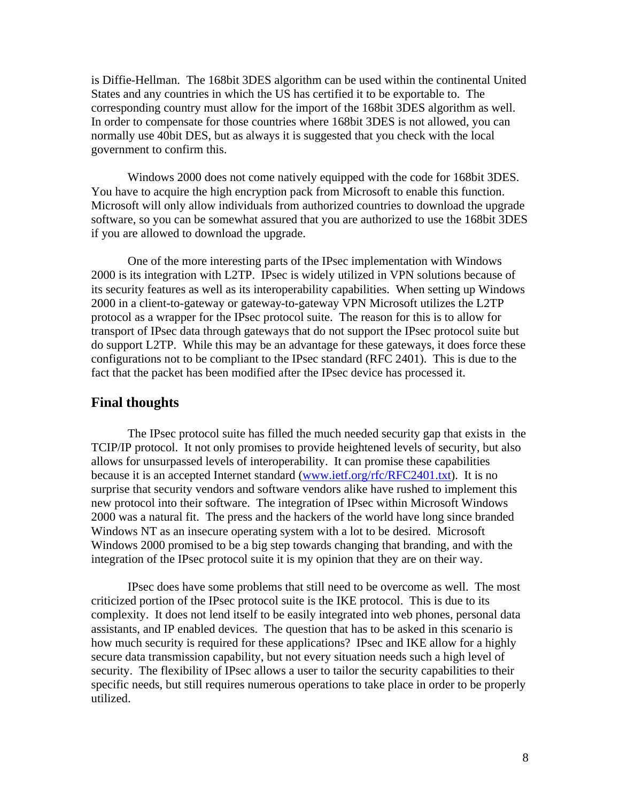is Diffie-Hellman. The 168bit 3DES algorithm can be used within the continental United States and any countries in which the US has certified it to be exportable to. The corresponding country must allow for the import of the 168bit 3DES algorithm as well. In order to compensate for those countries where 168bit 3DES is not allowed, you can normally use 40bit DES, but as always it is suggested that you check with the local government to confirm this.

Windows 2000 does not come natively equipped with the code for 168bit 3DES. You have to acquire the high encryption pack from Microsoft to enable this function. Microsoft will only allow individuals from authorized countries to download the upgrade software, so you can be somewhat assured that you are authorized to use the 168bit 3DES if you are allowed to download the upgrade.

One of the more interesting parts of the IPsec implementation with Windows 2000 is its integration with L2TP. IPsec is widely utilized in VPN solutions because of its security features as well as its interoperability capabilities. When setting up Windows 2000 in a client-to-gateway or gateway-to-gateway VPN Microsoft utilizes the L2TP protocol as a wrapper for the IPsec protocol suite. The reason for this is to allow for transport of IPsec data through gateways that do not support the IPsec protocol suite but do support L2TP. While this may be an advantage for these gateways, it does force these configurations not to be compliant to the IPsec standard (RFC 2401). This is due to the fact that the packet has been modified after the IPsec device has processed it.

#### **Final thoughts**

The IPsec protocol suite has filled the much needed security gap that exists in the TCIP/IP protocol. It not only promises to provide heightened levels of security, but also allows for unsurpassed levels of interoperability. It can promise these capabilities because it is an accepted Internet standard (www.ietf.org/rfc/RFC2401.txt). It is no surprise that security vendors and software vendors alike have rushed to implement this new protocol into their software. The integration of IPsec within Microsoft Windows 2000 was a natural fit. The press and the hackers of the world have long since branded Windows NT as an insecure operating system with a lot to be desired. Microsoft Windows 2000 promised to be a big step towards changing that branding, and with the integration of the IPsec protocol suite it is my opinion that they are on their way.

IPsec does have some problems that still need to be overcome as well. The most criticized portion of the IPsec protocol suite is the IKE protocol. This is due to its complexity. It does not lend itself to be easily integrated into web phones, personal data assistants, and IP enabled devices. The question that has to be asked in this scenario is how much security is required for these applications? IPsec and IKE allow for a highly secure data transmission capability, but not every situation needs such a high level of security. The flexibility of IPsec allows a user to tailor the security capabilities to their specific needs, but still requires numerous operations to take place in order to be properly utilized.